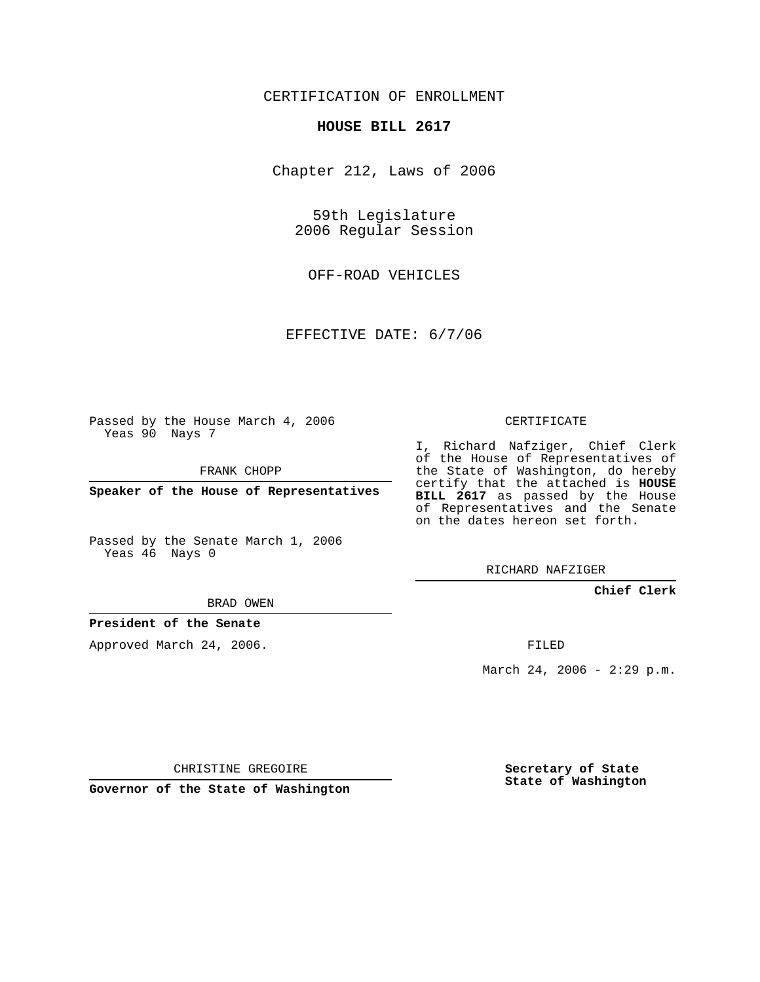## CERTIFICATION OF ENROLLMENT

#### **HOUSE BILL 2617**

Chapter 212, Laws of 2006

59th Legislature 2006 Regular Session

OFF-ROAD VEHICLES

EFFECTIVE DATE: 6/7/06

Passed by the House March 4, 2006 Yeas 90 Nays 7

FRANK CHOPP

**Speaker of the House of Representatives**

Passed by the Senate March 1, 2006 Yeas 46 Nays 0

# CERTIFICATE

I, Richard Nafziger, Chief Clerk of the House of Representatives of the State of Washington, do hereby certify that the attached is **HOUSE BILL 2617** as passed by the House of Representatives and the Senate on the dates hereon set forth.

RICHARD NAFZIGER

### **Chief Clerk**

BRAD OWEN

### **President of the Senate**

Approved March 24, 2006.

FILED

March 24, 2006 - 2:29 p.m.

CHRISTINE GREGOIRE

**Governor of the State of Washington**

**Secretary of State State of Washington**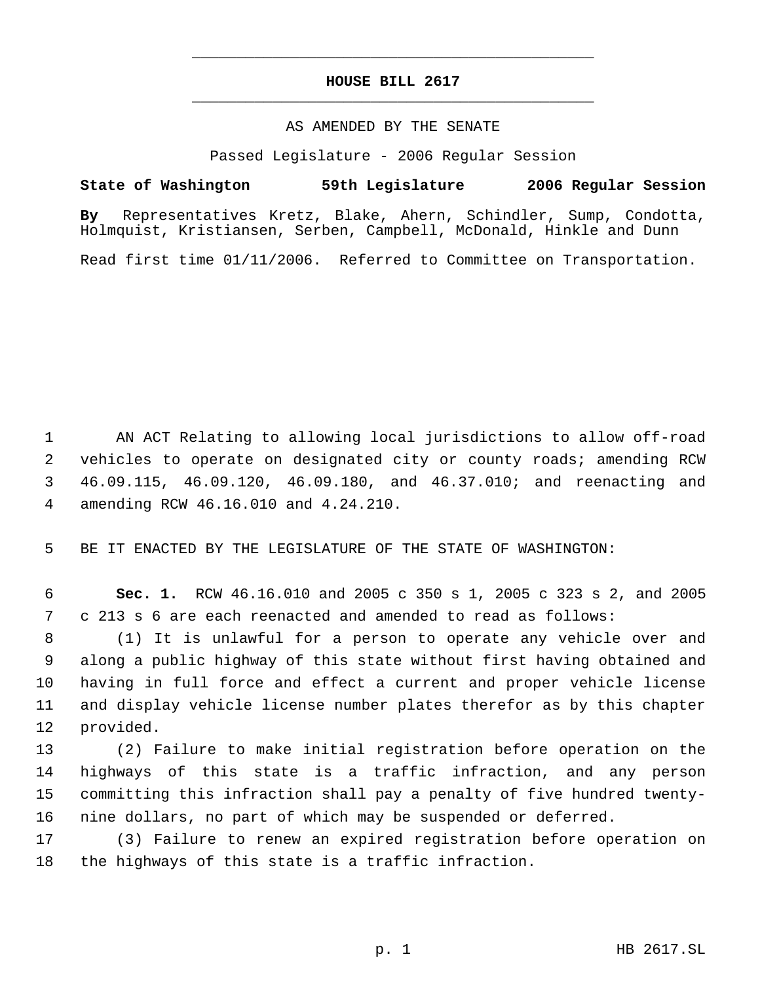# **HOUSE BILL 2617** \_\_\_\_\_\_\_\_\_\_\_\_\_\_\_\_\_\_\_\_\_\_\_\_\_\_\_\_\_\_\_\_\_\_\_\_\_\_\_\_\_\_\_\_\_

\_\_\_\_\_\_\_\_\_\_\_\_\_\_\_\_\_\_\_\_\_\_\_\_\_\_\_\_\_\_\_\_\_\_\_\_\_\_\_\_\_\_\_\_\_

#### AS AMENDED BY THE SENATE

Passed Legislature - 2006 Regular Session

### **State of Washington 59th Legislature 2006 Regular Session**

**By** Representatives Kretz, Blake, Ahern, Schindler, Sump, Condotta, Holmquist, Kristiansen, Serben, Campbell, McDonald, Hinkle and Dunn

Read first time 01/11/2006. Referred to Committee on Transportation.

 AN ACT Relating to allowing local jurisdictions to allow off-road vehicles to operate on designated city or county roads; amending RCW 46.09.115, 46.09.120, 46.09.180, and 46.37.010; and reenacting and amending RCW 46.16.010 and 4.24.210.

BE IT ENACTED BY THE LEGISLATURE OF THE STATE OF WASHINGTON:

 **Sec. 1.** RCW 46.16.010 and 2005 c 350 s 1, 2005 c 323 s 2, and 2005 c 213 s 6 are each reenacted and amended to read as follows:

 (1) It is unlawful for a person to operate any vehicle over and along a public highway of this state without first having obtained and having in full force and effect a current and proper vehicle license and display vehicle license number plates therefor as by this chapter provided.

 (2) Failure to make initial registration before operation on the highways of this state is a traffic infraction, and any person committing this infraction shall pay a penalty of five hundred twenty-nine dollars, no part of which may be suspended or deferred.

 (3) Failure to renew an expired registration before operation on the highways of this state is a traffic infraction.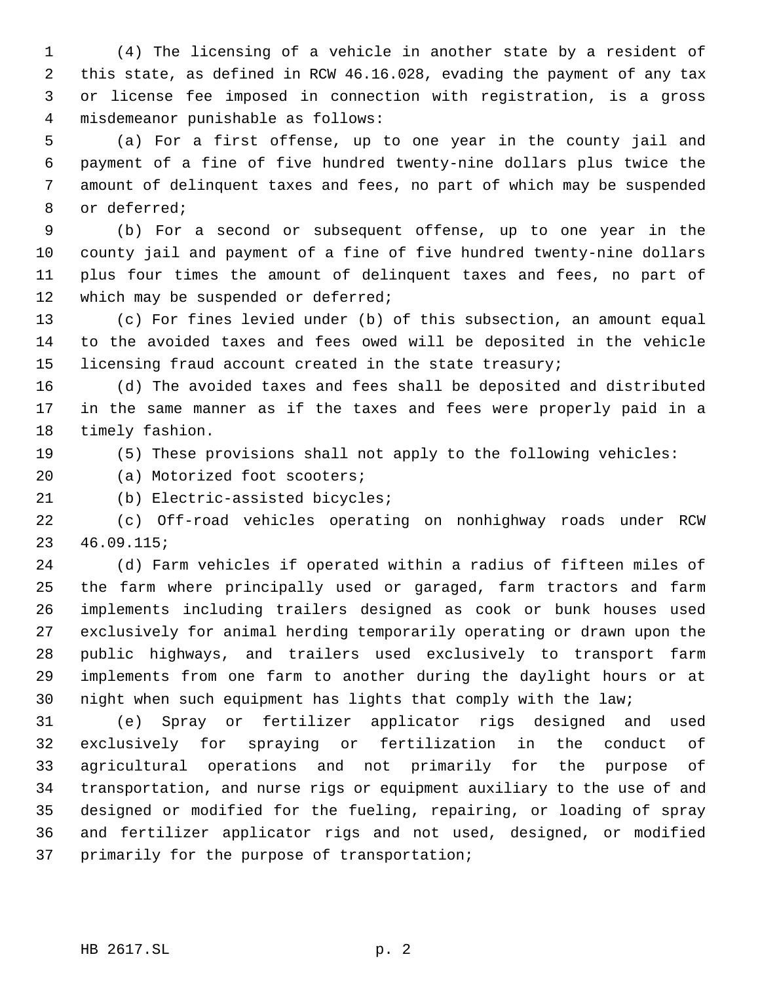(4) The licensing of a vehicle in another state by a resident of this state, as defined in RCW 46.16.028, evading the payment of any tax or license fee imposed in connection with registration, is a gross misdemeanor punishable as follows:

 (a) For a first offense, up to one year in the county jail and payment of a fine of five hundred twenty-nine dollars plus twice the amount of delinquent taxes and fees, no part of which may be suspended or deferred;

 (b) For a second or subsequent offense, up to one year in the county jail and payment of a fine of five hundred twenty-nine dollars plus four times the amount of delinquent taxes and fees, no part of 12 which may be suspended or deferred;

 (c) For fines levied under (b) of this subsection, an amount equal to the avoided taxes and fees owed will be deposited in the vehicle licensing fraud account created in the state treasury;

 (d) The avoided taxes and fees shall be deposited and distributed in the same manner as if the taxes and fees were properly paid in a timely fashion.

(5) These provisions shall not apply to the following vehicles:

20 (a) Motorized foot scooters;

(b) Electric-assisted bicycles;

 (c) Off-road vehicles operating on nonhighway roads under RCW 46.09.115;

 (d) Farm vehicles if operated within a radius of fifteen miles of the farm where principally used or garaged, farm tractors and farm implements including trailers designed as cook or bunk houses used exclusively for animal herding temporarily operating or drawn upon the public highways, and trailers used exclusively to transport farm implements from one farm to another during the daylight hours or at night when such equipment has lights that comply with the law;

 (e) Spray or fertilizer applicator rigs designed and used exclusively for spraying or fertilization in the conduct of agricultural operations and not primarily for the purpose of transportation, and nurse rigs or equipment auxiliary to the use of and designed or modified for the fueling, repairing, or loading of spray and fertilizer applicator rigs and not used, designed, or modified primarily for the purpose of transportation;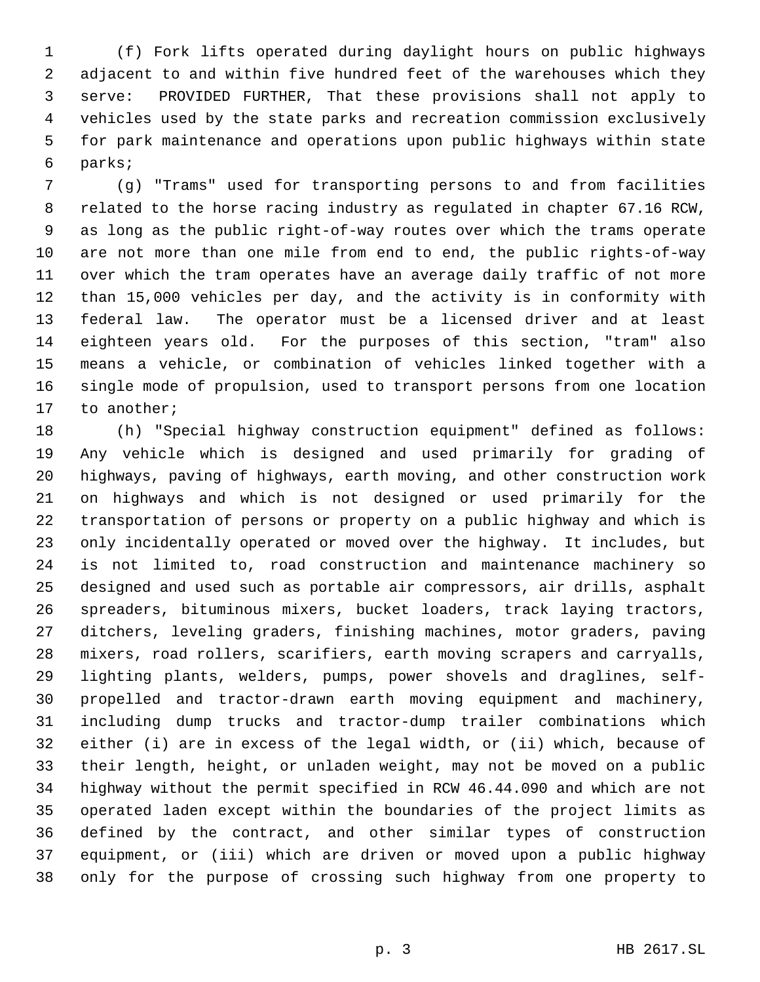(f) Fork lifts operated during daylight hours on public highways adjacent to and within five hundred feet of the warehouses which they serve: PROVIDED FURTHER, That these provisions shall not apply to vehicles used by the state parks and recreation commission exclusively for park maintenance and operations upon public highways within state parks;

 (g) "Trams" used for transporting persons to and from facilities related to the horse racing industry as regulated in chapter 67.16 RCW, as long as the public right-of-way routes over which the trams operate are not more than one mile from end to end, the public rights-of-way over which the tram operates have an average daily traffic of not more than 15,000 vehicles per day, and the activity is in conformity with federal law. The operator must be a licensed driver and at least eighteen years old. For the purposes of this section, "tram" also means a vehicle, or combination of vehicles linked together with a single mode of propulsion, used to transport persons from one location to another;

 (h) "Special highway construction equipment" defined as follows: Any vehicle which is designed and used primarily for grading of highways, paving of highways, earth moving, and other construction work on highways and which is not designed or used primarily for the transportation of persons or property on a public highway and which is only incidentally operated or moved over the highway. It includes, but is not limited to, road construction and maintenance machinery so designed and used such as portable air compressors, air drills, asphalt spreaders, bituminous mixers, bucket loaders, track laying tractors, ditchers, leveling graders, finishing machines, motor graders, paving mixers, road rollers, scarifiers, earth moving scrapers and carryalls, lighting plants, welders, pumps, power shovels and draglines, self- propelled and tractor-drawn earth moving equipment and machinery, including dump trucks and tractor-dump trailer combinations which either (i) are in excess of the legal width, or (ii) which, because of their length, height, or unladen weight, may not be moved on a public highway without the permit specified in RCW 46.44.090 and which are not operated laden except within the boundaries of the project limits as defined by the contract, and other similar types of construction equipment, or (iii) which are driven or moved upon a public highway only for the purpose of crossing such highway from one property to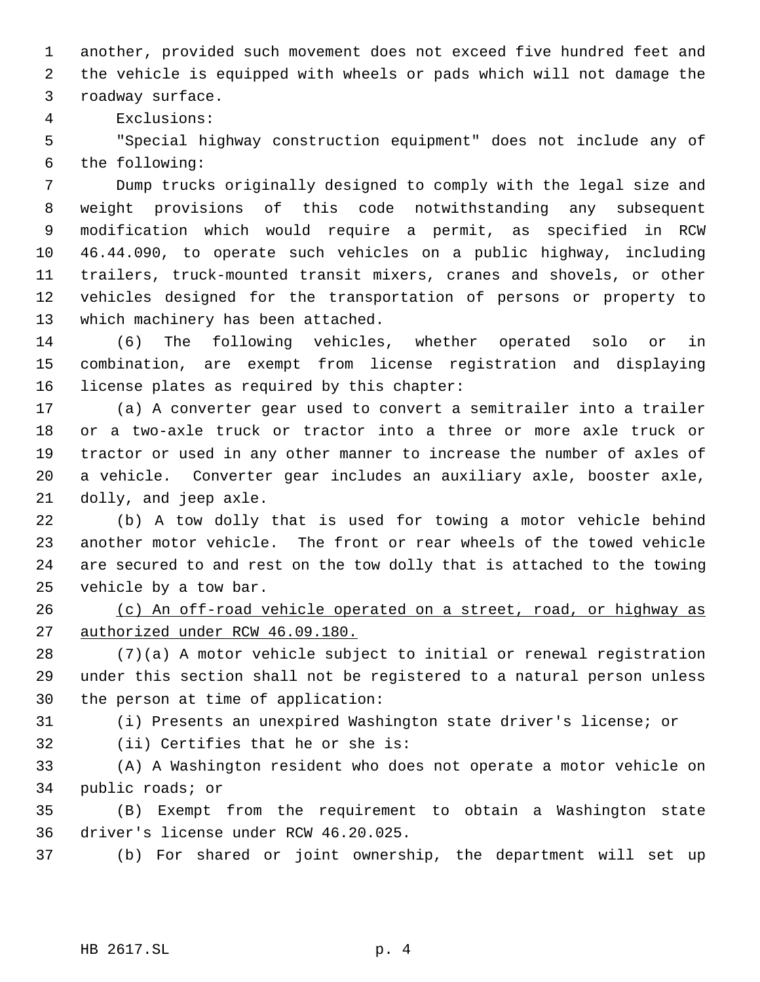another, provided such movement does not exceed five hundred feet and the vehicle is equipped with wheels or pads which will not damage the roadway surface.

Exclusions:

 "Special highway construction equipment" does not include any of the following:

 Dump trucks originally designed to comply with the legal size and weight provisions of this code notwithstanding any subsequent modification which would require a permit, as specified in RCW 46.44.090, to operate such vehicles on a public highway, including trailers, truck-mounted transit mixers, cranes and shovels, or other vehicles designed for the transportation of persons or property to which machinery has been attached.

 (6) The following vehicles, whether operated solo or in combination, are exempt from license registration and displaying license plates as required by this chapter:

 (a) A converter gear used to convert a semitrailer into a trailer or a two-axle truck or tractor into a three or more axle truck or tractor or used in any other manner to increase the number of axles of a vehicle. Converter gear includes an auxiliary axle, booster axle, dolly, and jeep axle.

 (b) A tow dolly that is used for towing a motor vehicle behind another motor vehicle. The front or rear wheels of the towed vehicle are secured to and rest on the tow dolly that is attached to the towing vehicle by a tow bar.

 (c) An off-road vehicle operated on a street, road, or highway as authorized under RCW 46.09.180.

 (7)(a) A motor vehicle subject to initial or renewal registration under this section shall not be registered to a natural person unless the person at time of application:

(i) Presents an unexpired Washington state driver's license; or

(ii) Certifies that he or she is:

 (A) A Washington resident who does not operate a motor vehicle on public roads; or

 (B) Exempt from the requirement to obtain a Washington state driver's license under RCW 46.20.025.

(b) For shared or joint ownership, the department will set up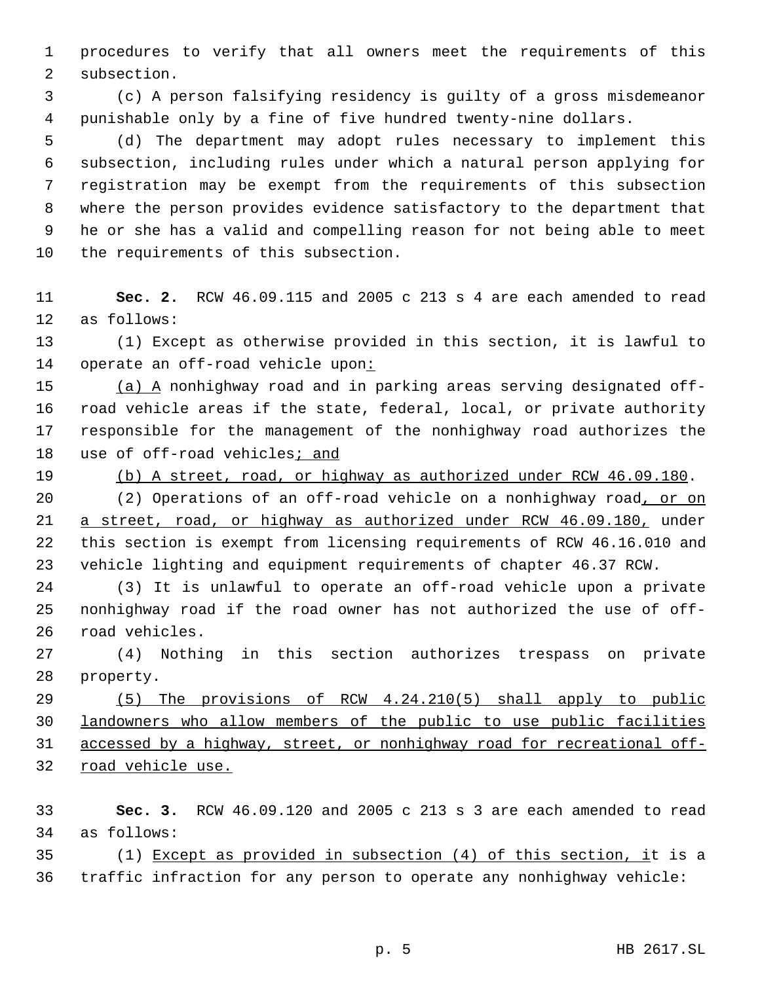procedures to verify that all owners meet the requirements of this subsection.

 (c) A person falsifying residency is guilty of a gross misdemeanor punishable only by a fine of five hundred twenty-nine dollars.

 (d) The department may adopt rules necessary to implement this subsection, including rules under which a natural person applying for registration may be exempt from the requirements of this subsection where the person provides evidence satisfactory to the department that he or she has a valid and compelling reason for not being able to meet the requirements of this subsection.

 **Sec. 2.** RCW 46.09.115 and 2005 c 213 s 4 are each amended to read as follows:

 (1) Except as otherwise provided in this section, it is lawful to 14 operate an off-road vehicle upon:

 (a) A nonhighway road and in parking areas serving designated off- road vehicle areas if the state, federal, local, or private authority responsible for the management of the nonhighway road authorizes the 18 use of off-road vehicles; and

(b) A street, road, or highway as authorized under RCW 46.09.180.

20 (2) Operations of an off-road vehicle on a nonhighway road, or on a street, road, or highway as authorized under RCW 46.09.180, under this section is exempt from licensing requirements of RCW 46.16.010 and vehicle lighting and equipment requirements of chapter 46.37 RCW.

 (3) It is unlawful to operate an off-road vehicle upon a private nonhighway road if the road owner has not authorized the use of off-road vehicles.

 (4) Nothing in this section authorizes trespass on private property.

 (5) The provisions of RCW 4.24.210(5) shall apply to public landowners who allow members of the public to use public facilities accessed by a highway, street, or nonhighway road for recreational off-road vehicle use.

 **Sec. 3.** RCW 46.09.120 and 2005 c 213 s 3 are each amended to read as follows:

 (1) Except as provided in subsection (4) of this section, it is a traffic infraction for any person to operate any nonhighway vehicle: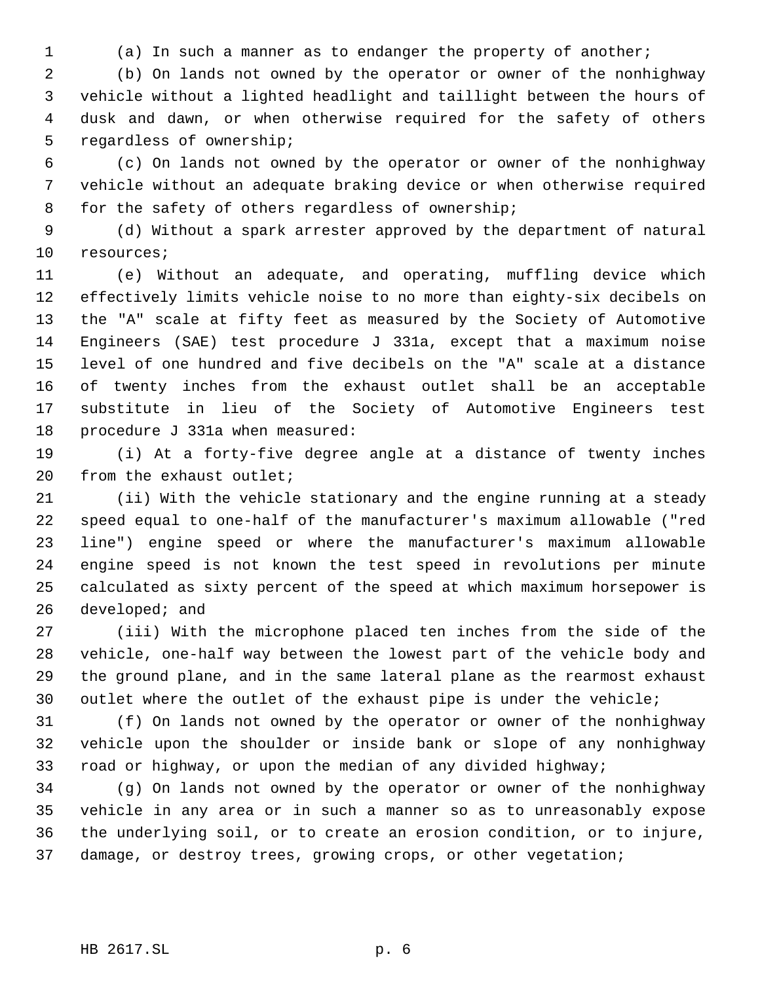(a) In such a manner as to endanger the property of another;

 (b) On lands not owned by the operator or owner of the nonhighway vehicle without a lighted headlight and taillight between the hours of dusk and dawn, or when otherwise required for the safety of others regardless of ownership;

 (c) On lands not owned by the operator or owner of the nonhighway vehicle without an adequate braking device or when otherwise required for the safety of others regardless of ownership;

 (d) Without a spark arrester approved by the department of natural resources;

 (e) Without an adequate, and operating, muffling device which effectively limits vehicle noise to no more than eighty-six decibels on the "A" scale at fifty feet as measured by the Society of Automotive Engineers (SAE) test procedure J 331a, except that a maximum noise level of one hundred and five decibels on the "A" scale at a distance of twenty inches from the exhaust outlet shall be an acceptable substitute in lieu of the Society of Automotive Engineers test procedure J 331a when measured:

 (i) At a forty-five degree angle at a distance of twenty inches from the exhaust outlet;

 (ii) With the vehicle stationary and the engine running at a steady speed equal to one-half of the manufacturer's maximum allowable ("red line") engine speed or where the manufacturer's maximum allowable engine speed is not known the test speed in revolutions per minute calculated as sixty percent of the speed at which maximum horsepower is developed; and

 (iii) With the microphone placed ten inches from the side of the vehicle, one-half way between the lowest part of the vehicle body and the ground plane, and in the same lateral plane as the rearmost exhaust outlet where the outlet of the exhaust pipe is under the vehicle;

 (f) On lands not owned by the operator or owner of the nonhighway vehicle upon the shoulder or inside bank or slope of any nonhighway road or highway, or upon the median of any divided highway;

 (g) On lands not owned by the operator or owner of the nonhighway vehicle in any area or in such a manner so as to unreasonably expose the underlying soil, or to create an erosion condition, or to injure, damage, or destroy trees, growing crops, or other vegetation;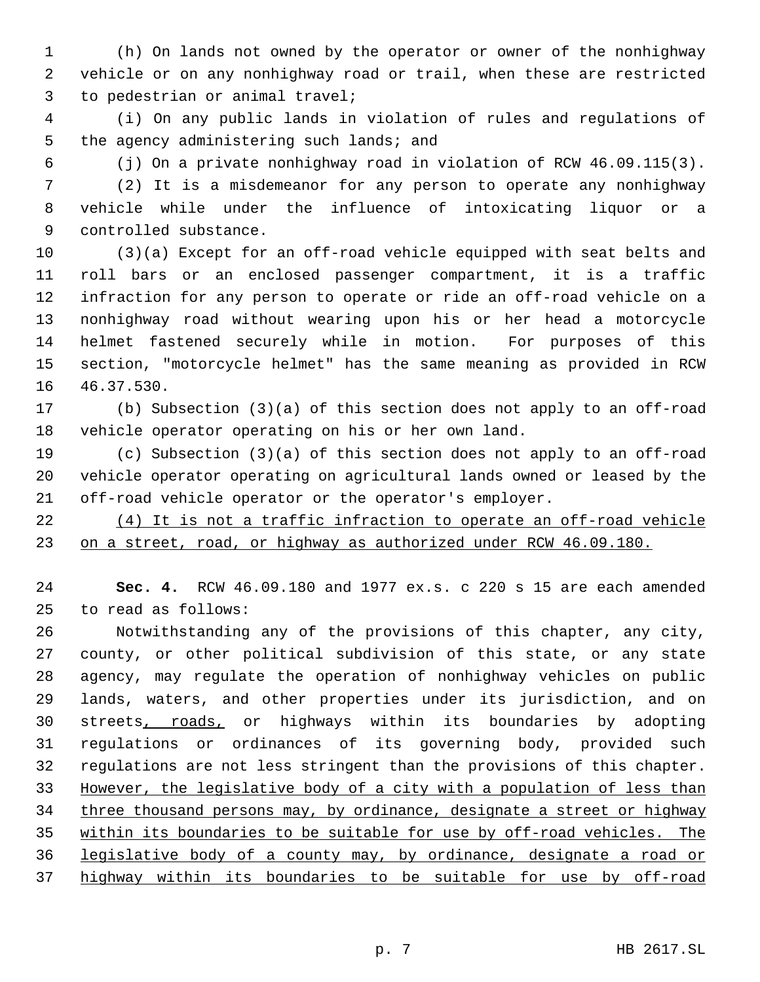(h) On lands not owned by the operator or owner of the nonhighway vehicle or on any nonhighway road or trail, when these are restricted to pedestrian or animal travel;

 (i) On any public lands in violation of rules and regulations of 5 the agency administering such lands; and

(j) On a private nonhighway road in violation of RCW 46.09.115(3).

 (2) It is a misdemeanor for any person to operate any nonhighway vehicle while under the influence of intoxicating liquor or a controlled substance.

 (3)(a) Except for an off-road vehicle equipped with seat belts and roll bars or an enclosed passenger compartment, it is a traffic infraction for any person to operate or ride an off-road vehicle on a nonhighway road without wearing upon his or her head a motorcycle helmet fastened securely while in motion. For purposes of this section, "motorcycle helmet" has the same meaning as provided in RCW 46.37.530.

 (b) Subsection (3)(a) of this section does not apply to an off-road vehicle operator operating on his or her own land.

 (c) Subsection (3)(a) of this section does not apply to an off-road vehicle operator operating on agricultural lands owned or leased by the off-road vehicle operator or the operator's employer.

 (4) It is not a traffic infraction to operate an off-road vehicle on a street, road, or highway as authorized under RCW 46.09.180.

 **Sec. 4.** RCW 46.09.180 and 1977 ex.s. c 220 s 15 are each amended to read as follows:

 Notwithstanding any of the provisions of this chapter, any city, county, or other political subdivision of this state, or any state agency, may regulate the operation of nonhighway vehicles on public lands, waters, and other properties under its jurisdiction, and on streets, roads, or highways within its boundaries by adopting regulations or ordinances of its governing body, provided such regulations are not less stringent than the provisions of this chapter. However, the legislative body of a city with a population of less than 34 three thousand persons may, by ordinance, designate a street or highway within its boundaries to be suitable for use by off-road vehicles. The legislative body of a county may, by ordinance, designate a road or highway within its boundaries to be suitable for use by off-road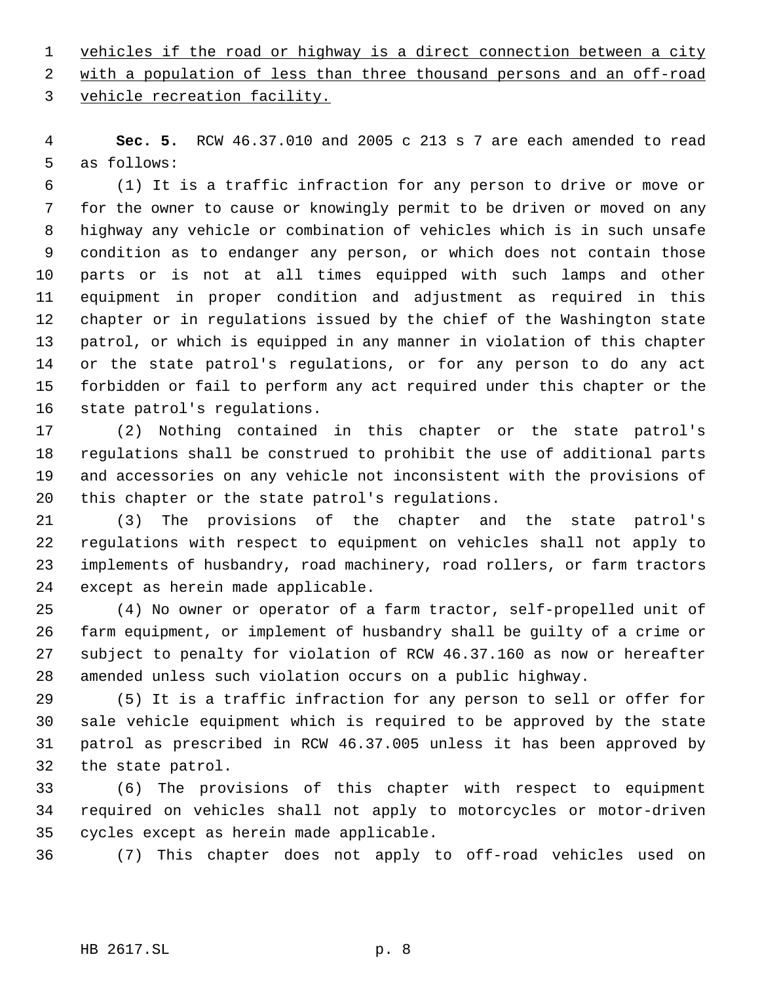vehicles if the road or highway is a direct connection between a city

2 with a population of less than three thousand persons and an off-road

vehicle recreation facility.

 **Sec. 5.** RCW 46.37.010 and 2005 c 213 s 7 are each amended to read as follows:

 (1) It is a traffic infraction for any person to drive or move or for the owner to cause or knowingly permit to be driven or moved on any highway any vehicle or combination of vehicles which is in such unsafe condition as to endanger any person, or which does not contain those parts or is not at all times equipped with such lamps and other equipment in proper condition and adjustment as required in this chapter or in regulations issued by the chief of the Washington state patrol, or which is equipped in any manner in violation of this chapter or the state patrol's regulations, or for any person to do any act forbidden or fail to perform any act required under this chapter or the state patrol's regulations.

 (2) Nothing contained in this chapter or the state patrol's regulations shall be construed to prohibit the use of additional parts and accessories on any vehicle not inconsistent with the provisions of this chapter or the state patrol's regulations.

 (3) The provisions of the chapter and the state patrol's regulations with respect to equipment on vehicles shall not apply to implements of husbandry, road machinery, road rollers, or farm tractors except as herein made applicable.

 (4) No owner or operator of a farm tractor, self-propelled unit of farm equipment, or implement of husbandry shall be guilty of a crime or subject to penalty for violation of RCW 46.37.160 as now or hereafter amended unless such violation occurs on a public highway.

 (5) It is a traffic infraction for any person to sell or offer for sale vehicle equipment which is required to be approved by the state patrol as prescribed in RCW 46.37.005 unless it has been approved by the state patrol.

 (6) The provisions of this chapter with respect to equipment required on vehicles shall not apply to motorcycles or motor-driven cycles except as herein made applicable.

(7) This chapter does not apply to off-road vehicles used on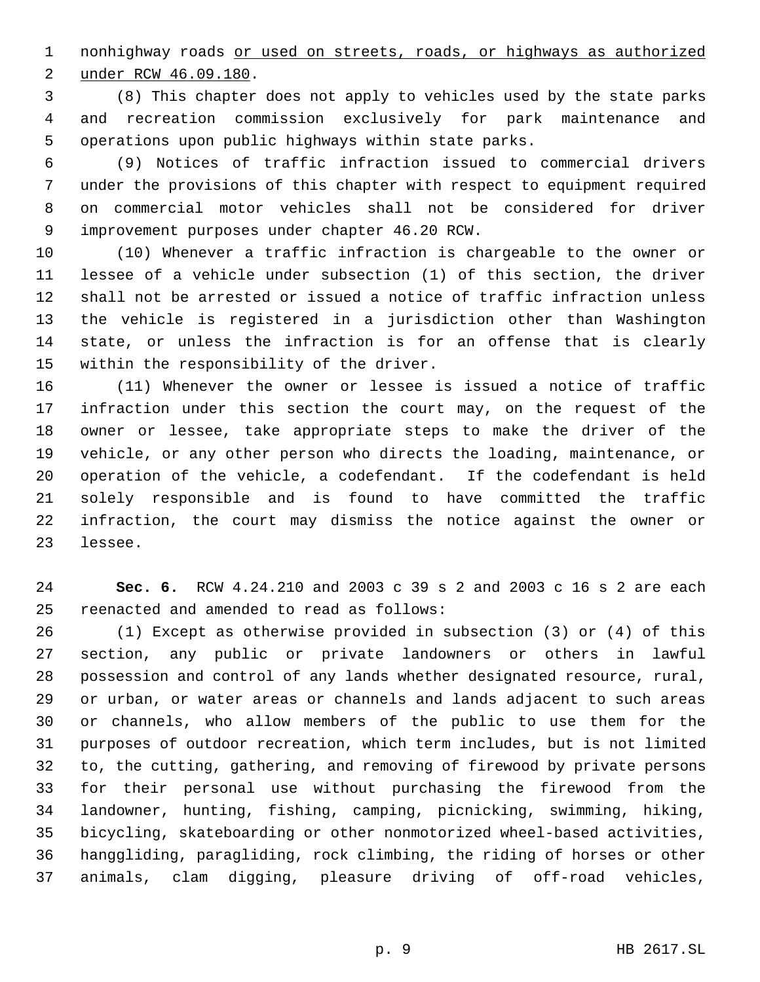nonhighway roads or used on streets, roads, or highways as authorized under RCW 46.09.180.

 (8) This chapter does not apply to vehicles used by the state parks and recreation commission exclusively for park maintenance and operations upon public highways within state parks.

 (9) Notices of traffic infraction issued to commercial drivers under the provisions of this chapter with respect to equipment required on commercial motor vehicles shall not be considered for driver improvement purposes under chapter 46.20 RCW.

 (10) Whenever a traffic infraction is chargeable to the owner or lessee of a vehicle under subsection (1) of this section, the driver shall not be arrested or issued a notice of traffic infraction unless the vehicle is registered in a jurisdiction other than Washington state, or unless the infraction is for an offense that is clearly within the responsibility of the driver.

 (11) Whenever the owner or lessee is issued a notice of traffic infraction under this section the court may, on the request of the owner or lessee, take appropriate steps to make the driver of the vehicle, or any other person who directs the loading, maintenance, or operation of the vehicle, a codefendant. If the codefendant is held solely responsible and is found to have committed the traffic infraction, the court may dismiss the notice against the owner or lessee.

 **Sec. 6.** RCW 4.24.210 and 2003 c 39 s 2 and 2003 c 16 s 2 are each reenacted and amended to read as follows:

 (1) Except as otherwise provided in subsection (3) or (4) of this section, any public or private landowners or others in lawful possession and control of any lands whether designated resource, rural, or urban, or water areas or channels and lands adjacent to such areas or channels, who allow members of the public to use them for the purposes of outdoor recreation, which term includes, but is not limited to, the cutting, gathering, and removing of firewood by private persons for their personal use without purchasing the firewood from the landowner, hunting, fishing, camping, picnicking, swimming, hiking, bicycling, skateboarding or other nonmotorized wheel-based activities, hanggliding, paragliding, rock climbing, the riding of horses or other animals, clam digging, pleasure driving of off-road vehicles,